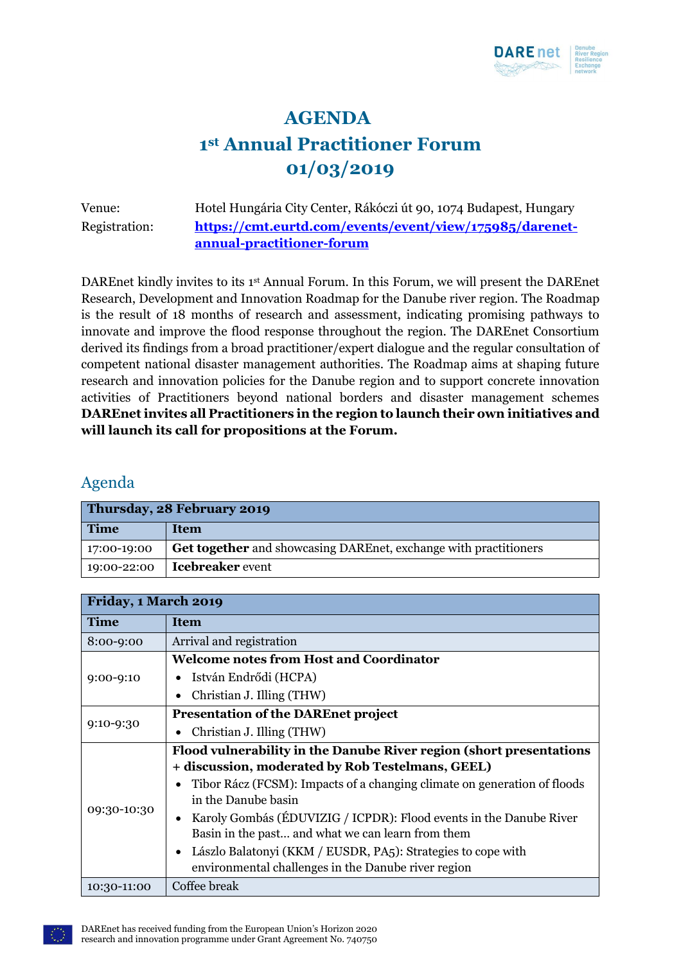

# **AGENDA 1 st Annual Practitioner Forum 01/03/2019**

Venue: Hotel Hungária City Center, Rákóczi út 90, 1074 Budapest, Hungary Registration: **[https://cmt.eurtd.com/events/event/view/175985/darenet](https://cmt.eurtd.com/events/event/view/175985/darenet-annual-practitioner-forum)[annual-practitioner-forum](https://cmt.eurtd.com/events/event/view/175985/darenet-annual-practitioner-forum)**

DAREnet kindly invites to its 1st Annual Forum. In this Forum, we will present the DAREnet Research, Development and Innovation Roadmap for the Danube river region. The Roadmap is the result of 18 months of research and assessment, indicating promising pathways to innovate and improve the flood response throughout the region. The DAREnet Consortium derived its findings from a broad practitioner/expert dialogue and the regular consultation of competent national disaster management authorities. The Roadmap aims at shaping future research and innovation policies for the Danube region and to support concrete innovation activities of Practitioners beyond national borders and disaster management schemes **DAREnet invites all Practitioners in the region to launch their own initiatives and will launch its call for propositions at the Forum.**

### Agenda

| Thursday, 28 February 2019 |                                                                  |
|----------------------------|------------------------------------------------------------------|
| <b>Time</b>                | <b>Item</b>                                                      |
| 17:00-19:00                | Get together and showcasing DAREnet, exchange with practitioners |
| 19:00-22:00                | <b>Icebreaker</b> event                                          |

| Friday, 1 March 2019 |                                                                          |  |
|----------------------|--------------------------------------------------------------------------|--|
| <b>Time</b>          | <b>Item</b>                                                              |  |
| 8:00-9:00            | Arrival and registration                                                 |  |
| $9:00-9:10$          | <b>Welcome notes from Host and Coordinator</b>                           |  |
|                      | István Endrődi (HCPA)                                                    |  |
|                      | Christian J. Illing (THW)                                                |  |
| $9:10-9:30$          | <b>Presentation of the DAREnet project</b>                               |  |
|                      | Christian J. Illing (THW)                                                |  |
| 09:30-10:30          | Flood vulnerability in the Danube River region (short presentations      |  |
|                      | + discussion, moderated by Rob Testelmans, GEEL)                         |  |
|                      | Tibor Rácz (FCSM): Impacts of a changing climate on generation of floods |  |
|                      | in the Danube basin                                                      |  |
|                      | Karoly Gombás (ÉDUVIZIG / ICPDR): Flood events in the Danube River       |  |
|                      | Basin in the past and what we can learn from them                        |  |
|                      | Lászlo Balatonyi (KKM / EUSDR, PA5): Strategies to cope with             |  |
|                      | environmental challenges in the Danube river region                      |  |
| 10:30-11:00          | Coffee break                                                             |  |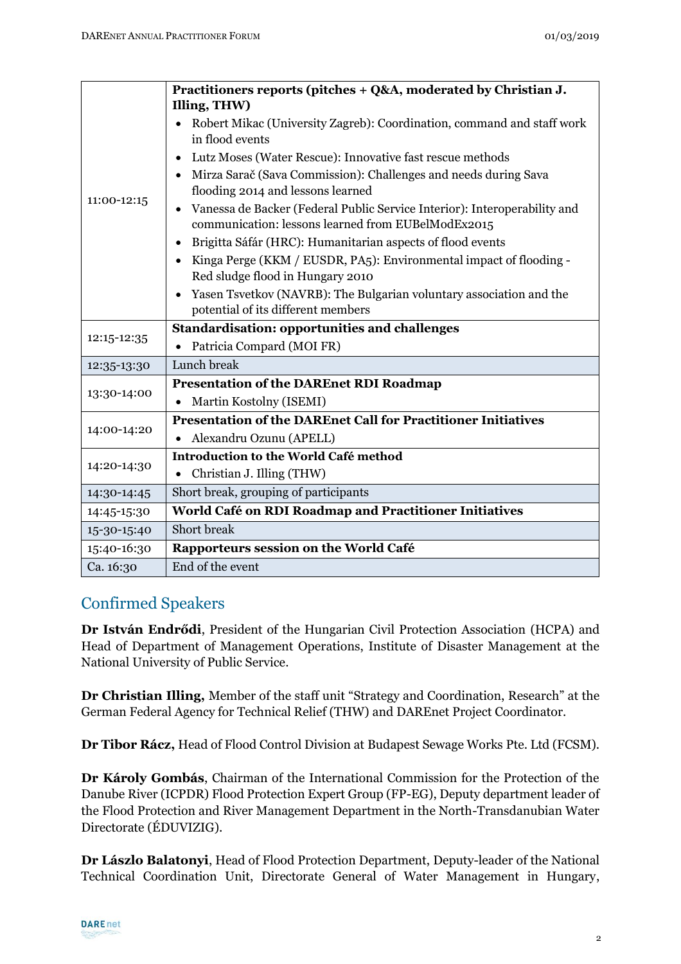| 11:00-12:15 | Practitioners reports (pitches + Q&A, moderated by Christian J.                                                                 |
|-------------|---------------------------------------------------------------------------------------------------------------------------------|
|             | Illing, THW)                                                                                                                    |
|             | Robert Mikac (University Zagreb): Coordination, command and staff work<br>in flood events                                       |
|             | Lutz Moses (Water Rescue): Innovative fast rescue methods                                                                       |
|             | Mirza Sarač (Sava Commission): Challenges and needs during Sava<br>flooding 2014 and lessons learned                            |
|             | Vanessa de Backer (Federal Public Service Interior): Interoperability and<br>communication: lessons learned from EUBelModEx2015 |
|             | Brigitta Sáfár (HRC): Humanitarian aspects of flood events                                                                      |
|             | Kinga Perge (KKM / EUSDR, PA5): Environmental impact of flooding -<br>Red sludge flood in Hungary 2010                          |
|             | Yasen Tsvetkov (NAVRB): The Bulgarian voluntary association and the                                                             |
|             | potential of its different members                                                                                              |
| 12:15-12:35 | <b>Standardisation: opportunities and challenges</b>                                                                            |
|             | Patricia Compard (MOI FR)                                                                                                       |
| 12:35-13:30 | Lunch break                                                                                                                     |
| 13:30-14:00 | <b>Presentation of the DAREnet RDI Roadmap</b>                                                                                  |
|             | Martin Kostolny (ISEMI)                                                                                                         |
| 14:00-14:20 | <b>Presentation of the DAREnet Call for Practitioner Initiatives</b>                                                            |
|             | Alexandru Ozunu (APELL)                                                                                                         |
| 14:20-14:30 | Introduction to the World Café method                                                                                           |
|             | Christian J. Illing (THW)                                                                                                       |
| 14:30-14:45 | Short break, grouping of participants                                                                                           |
| 14:45-15:30 | World Café on RDI Roadmap and Practitioner Initiatives                                                                          |
| 15-30-15:40 | Short break                                                                                                                     |
| 15:40-16:30 | Rapporteurs session on the World Café                                                                                           |
| Ca. 16:30   | End of the event                                                                                                                |

### Confirmed Speakers

**Dr István Endrődi**, President of the Hungarian Civil Protection Association (HCPA) and Head of Department of Management Operations, Institute of Disaster Management at the National University of Public Service.

**Dr Christian Illing,** Member of the staff unit "Strategy and Coordination, Research" at the German Federal Agency for Technical Relief (THW) and DAREnet Project Coordinator.

**Dr Tibor Rácz,** Head of Flood Control Division at Budapest Sewage Works Pte. Ltd (FCSM).

**Dr Károly Gombás**, Chairman of the International Commission for the Protection of the Danube River (ICPDR) Flood Protection Expert Group (FP-EG), Deputy department leader of the Flood Protection and River Management Department in the North-Transdanubian Water Directorate (ÉDUVIZIG).

**Dr Lászlo Balatonyi**, Head of Flood Protection Department, Deputy-leader of the National Technical Coordination Unit, Directorate General of Water Management in Hungary,

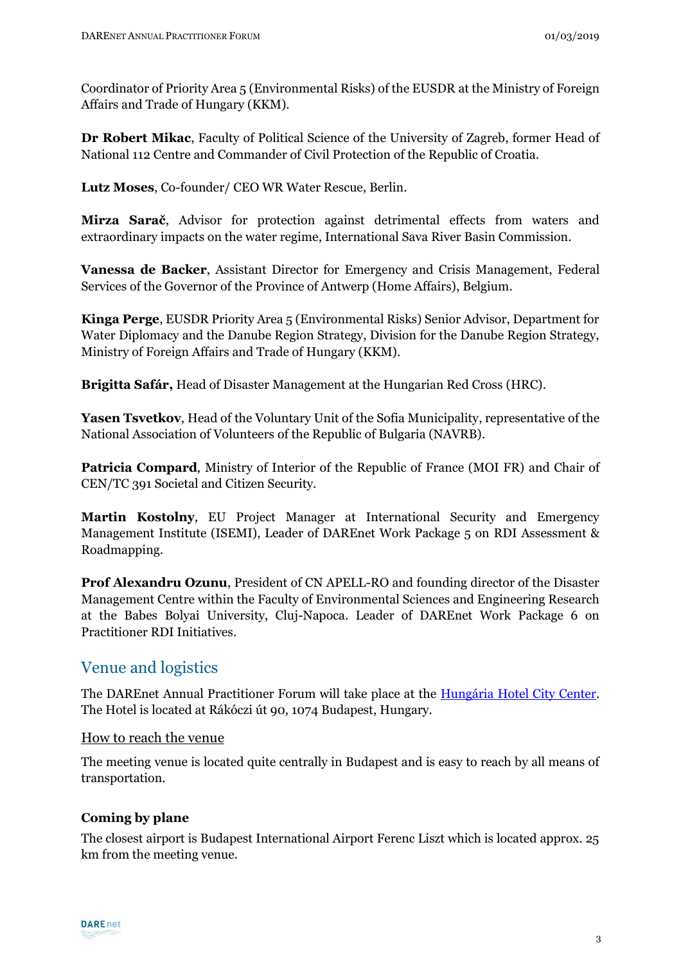Coordinator of Priority Area 5 (Environmental Risks) of the EUSDR at the Ministry of Foreign Affairs and Trade of Hungary (KKM).

**Dr Robert Mikac**, Faculty of Political Science of the University of Zagreb, former Head of National 112 Centre and Commander of Civil Protection of the Republic of Croatia.

**Lutz Moses**, Co-founder/ CEO WR Water Rescue, Berlin.

**Mirza Sarač**, Advisor for protection against detrimental effects from waters and extraordinary impacts on the water regime, International Sava River Basin Commission.

**Vanessa de Backer**, Assistant Director for Emergency and Crisis Management, Federal Services of the Governor of the Province of Antwerp (Home Affairs), Belgium.

**Kinga Perge**, EUSDR Priority Area 5 (Environmental Risks) Senior Advisor, Department for Water Diplomacy and the Danube Region Strategy, Division for the Danube Region Strategy, Ministry of Foreign Affairs and Trade of Hungary (KKM).

**Brigitta Safár,** Head of Disaster Management at the Hungarian Red Cross (HRC).

**Yasen Tsvetkov**, Head of the Voluntary Unit of the Sofia Municipality, representative of the National Association of Volunteers of the Republic of Bulgaria (NAVRB).

**Patricia Compard**, Ministry of Interior of the Republic of France (MOI FR) and Chair of CEN/TC 391 Societal and Citizen Security.

**Martin Kostolny**, EU Project Manager at International Security and Emergency Management Institute (ISEMI), Leader of DAREnet Work Package 5 on RDI Assessment & Roadmapping.

**Prof Alexandru Ozunu**, President of CN APELL-RO and founding director of the Disaster Management Centre within the Faculty of Environmental Sciences and Engineering Research at the Babes Bolyai University, Cluj-Napoca. Leader of DAREnet Work Package 6 on Practitioner RDI Initiatives.

# Venue and logistics

The DAREnet Annual Practitioner Forum will take place at the [Hungária Hotel City Center.](https://www.danubiushotels.com/de/unsere-hotels-budapest/hotel-hungaria-city-center) The Hotel is located at Rákóczi út 90, 1074 Budapest, Hungary.

### How to reach the venue

The meeting venue is located quite centrally in Budapest and is easy to reach by all means of transportation.

### **Coming by plane**

The closest airport is Budapest International Airport Ferenc Liszt which is located approx. 25 km from the meeting venue.

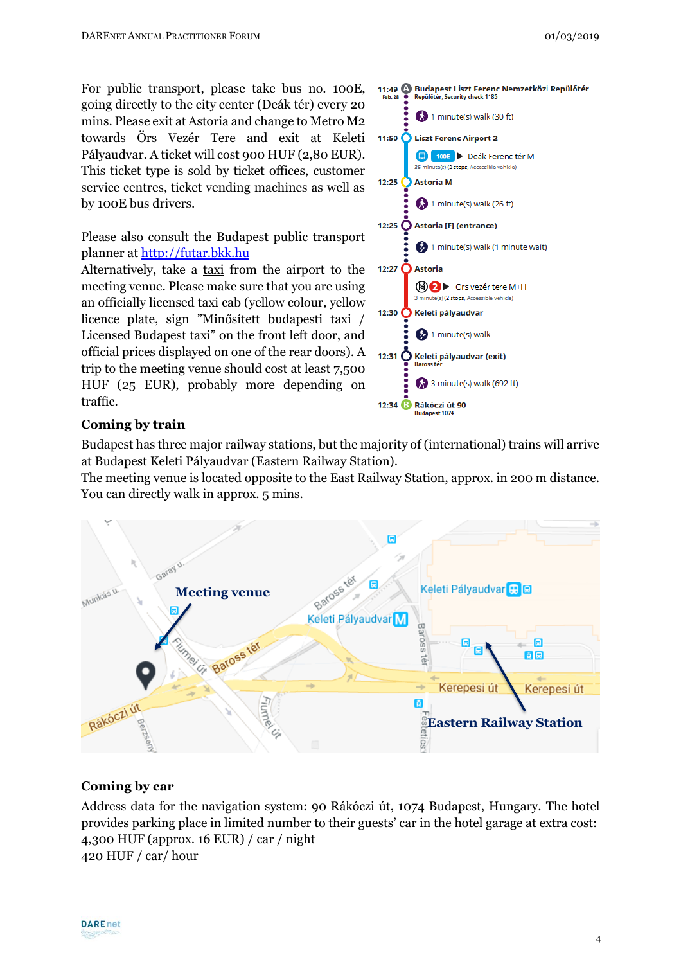For public transport, please take bus no. 100E, going directly to the city center (Deák tér) every 20 mins. Please exit at Astoria and change to Metro M2 towards Örs Vezér Tere and exit at Keleti Pályaudvar. A ticket will cost 900 HUF (2,80 EUR). This ticket type is sold by ticket offices, customer service centres, ticket vending machines as well as by 100E bus drivers.

Please also consult the Budapest public transport planner at [http://futar.bkk.hu](http://futar.bkk.hu/)

Alternatively, take a taxi from the airport to the meeting venue. Please make sure that you are using an officially licensed taxi cab (yellow colour, yellow licence plate, sign "Minősített budapesti taxi / Licensed Budapest taxi" on the front left door, and official prices displayed on one of the rear doors). A trip to the meeting venue should cost at least 7,500 HUF (25 EUR), probably more depending on traffic.



#### **Coming by train**

Budapest has three major railway stations, but the majority of (international) trains will arrive at Budapest Keleti Pályaudvar (Eastern Railway Station).

The meeting venue is located opposite to the East Railway Station, approx. in 200 m distance. You can directly walk in approx. 5 mins.



#### **Coming by car**

Address data for the navigation system: 90 Rákóczi út, 1074 Budapest, Hungary. The hotel provides parking place in limited number to their guests' car in the hotel garage at extra cost: 4,300 HUF (approx. 16 EUR) / car / night 420 HUF / car/ hour